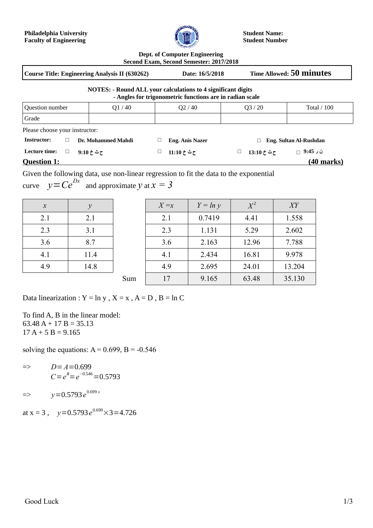

**Student Name: Student Number**

**Dept. of Computer Engineering**

**Second Exam, Second Semester: 2017/2018 Course Title: Engineering Analysis II (630262) Date: 16/5/2018 Time Allowed: 50 minutes NOTES: - Round ALL your calculations to 4 significant digits - Angles for trigonometric functions are in radian scale** Question number Q1 / 40 Q2 / 40 Q3 / 20 Total / 100 Grade Please choose your instructor: **Instructor: □ Dr. Mohammed Mahdi □ Eng. Anis Nazer □ Eng. Sultan Al-Rushdan ن ر 9:45 □ ح ث خ 13:10 □ ح ث خ 11:10 □ ح ث خ 9:10 □ :time Lecture Question 1: (40 marks)**

Given the following data, use non-linear regression to fit the data to the exponential curve  $y=Ce^{Dx}$  and approximate *y* at  $x=3$ 

| $\boldsymbol{x}$ | у    |
|------------------|------|
| 2.1              | 2.1  |
| 2.3              | 3.1  |
| 3.6              | 8.7  |
| 4.1              | 11.4 |
| 4.9              | 14.8 |

| $\mathcal{X}$ | $\mathcal{V}$ |     | $X = x$ | $Y = ln y$ | $X^2$ | XY     |
|---------------|---------------|-----|---------|------------|-------|--------|
| 2.1           | 2.1           |     | 2.1     | 0.7419     | 4.41  | 1.558  |
| 2.3           | 3.1           |     | 2.3     | 1.131      | 5.29  | 2.602  |
| 3.6           | 8.7           |     | 3.6     | 2.163      | 12.96 | 7.788  |
| 4.1           | 11.4          |     | 4.1     | 2.434      | 16.81 | 9.978  |
| 4.9           | 14.8          |     | 4.9     | 2.695      | 24.01 | 13.204 |
|               |               | Sum | 17      | 9.165      | 63.48 | 35.130 |

Data linearization :  $Y = \ln y$ ,  $X = x$ ,  $A = D$ ,  $B = \ln C$ 

To find A, B in the linear model:  $63.48$  A + 17 B = 35.13  $17 A + 5 B = 9.165$ 

solving the equations:  $A = 0.699$ ,  $B = -0.546$ 

- => *D*=*A*=0.699  $C = e^{B} = e^{-0.546} = 0.5793$
- $\Rightarrow y = 0.5793 e^{0.699 \, x}$

at x = 3 ,  $y=0.5793e^{0.699}\times 3=4.726$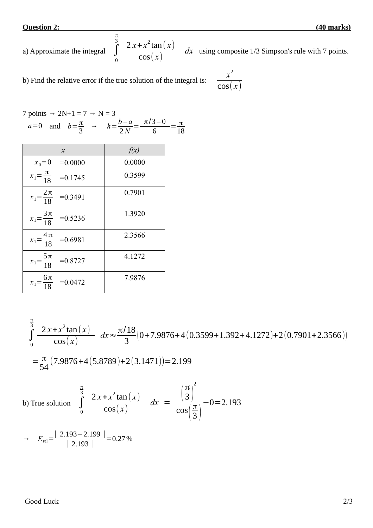**Question 2: (40 marks)**

a) Approximate the integral 
$$
\int_{0}^{\frac{\pi}{3}} \frac{2x + x^2 \tan(x)}{\cos(x)} dx
$$
 using composite 1/3 Simpson's rule with 7 points.

b) Find the relative error if the true solution of the integral is: *<sup>x</sup>*

$$
\frac{x^2}{\cos(x)}
$$

7 points 
$$
\rightarrow
$$
 2N+1 = 7  $\rightarrow$  N = 3  
\n $a=0$  and  $b=\frac{\pi}{3}$   $\rightarrow$   $h=\frac{b-a}{2N}=\frac{\pi/3-0}{6}=\frac{\pi}{18}$ 

| $\mathcal{X}$                               | f(x)   |
|---------------------------------------------|--------|
| $x_0 = 0$<br>$=0.0000$                      | 0.0000 |
| $x_1 = \frac{\pi}{18}$<br>$=0.1745$         | 0.3599 |
| $x_1 = \frac{2\pi}{18}$<br>$=0.3491$        | 0.7901 |
| $x_1 = \frac{3\pi}{18}$<br>$=0.5236$        | 1.3920 |
| $x_1 = \frac{4\pi}{18}$<br>$=0.6981$        | 2.3566 |
| $x_1 = \frac{5\pi}{18}$<br>$=0.8727$        | 4.1272 |
| 6π<br>$=0.0472$<br>$\boldsymbol{x}_1$<br>18 | 7.9876 |

$$
\int_{0}^{\frac{\pi}{3}} \frac{2x + x^2 \tan(x)}{\cos(x)} dx \approx \frac{\pi/18}{3} (0 + 7.9876 + 4(0.3599 + 1.392 + 4.1272) + 2(0.7901 + 2.3566))
$$
  
=  $\frac{\pi}{54} (7.9876 + 4(5.8789) + 2(3.1471)) = 2.199$ 

b) True solution  $\int$ 0  $\int_{0}^{3} 2x + x^2 \tan(x)$  $cos(x)$  $dx =$ ( 3 )  $\cos\left(\frac{\pi}{3}\right)$ 3 )  $-0=2.193$ 

$$
\rightarrow E_{\text{rel}} = \frac{|2.193 - 2.199|}{|2.193|} = 0.27\%
$$